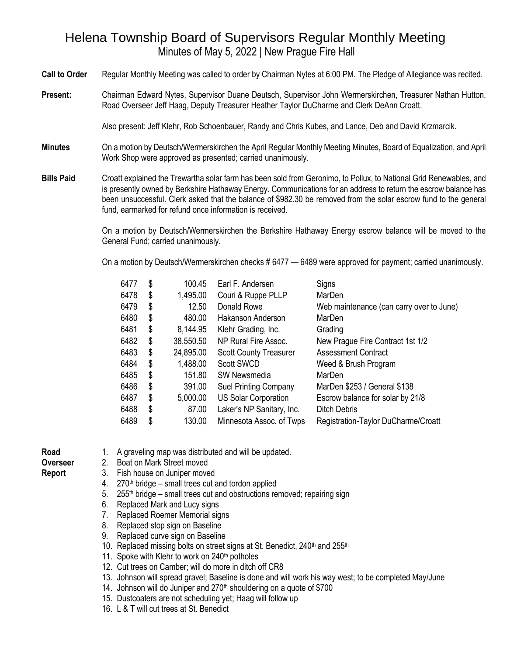## Helena Township Board of Supervisors Regular Monthly Meeting Minutes of May 5, 2022 | New Prague Fire Hall

**Call to Order** Regular Monthly Meeting was called to order by Chairman Nytes at 6:00 PM. The Pledge of Allegiance was recited.

**Present:** Chairman Edward Nytes, Supervisor Duane Deutsch, Supervisor John Wermerskirchen, Treasurer Nathan Hutton, Road Overseer Jeff Haag, Deputy Treasurer Heather Taylor DuCharme and Clerk DeAnn Croatt.

Also present: Jeff Klehr, Rob Schoenbauer, Randy and Chris Kubes, and Lance, Deb and David Krzmarcik.

- **Minutes** On a motion by Deutsch/Wermerskirchen the April Regular Monthly Meeting Minutes, Board of Equalization, and April Work Shop were approved as presented; carried unanimously.
- **Bills Paid** Croatt explained the Trewartha solar farm has been sold from Geronimo, to Pollux, to National Grid Renewables, and is presently owned by Berkshire Hathaway Energy. Communications for an address to return the escrow balance has been unsuccessful. Clerk asked that the balance of \$982.30 be removed from the solar escrow fund to the general fund, earmarked for refund once information is received.

On a motion by Deutsch/Wermerskirchen the Berkshire Hathaway Energy escrow balance will be moved to the General Fund; carried unanimously.

On a motion by Deutsch/Wermerskirchen checks # 6477 — 6489 were approved for payment; carried unanimously.

| 6477 | \$ | 100.45    | Earl F. Andersen              | Signs                                    |
|------|----|-----------|-------------------------------|------------------------------------------|
| 6478 | \$ | 1,495.00  | Couri & Ruppe PLLP            | MarDen                                   |
| 6479 | \$ | 12.50     | Donald Rowe                   | Web maintenance (can carry over to June) |
| 6480 | \$ | 480.00    | Hakanson Anderson             | MarDen                                   |
| 6481 | \$ | 8,144.95  | Klehr Grading, Inc.           | Grading                                  |
| 6482 | \$ | 38,550.50 | NP Rural Fire Assoc.          | New Prague Fire Contract 1st 1/2         |
| 6483 | \$ | 24,895.00 | <b>Scott County Treasurer</b> | <b>Assessment Contract</b>               |
| 6484 | S  | 1,488.00  | <b>Scott SWCD</b>             | Weed & Brush Program                     |
| 6485 | \$ | 151.80    | <b>SW Newsmedia</b>           | MarDen                                   |
| 6486 | \$ | 391.00    | <b>Suel Printing Company</b>  | MarDen \$253 / General \$138             |
| 6487 | \$ | 5,000.00  | <b>US Solar Corporation</b>   | Escrow balance for solar by 21/8         |
| 6488 | \$ | 87.00     | Laker's NP Sanitary, Inc.     | <b>Ditch Debris</b>                      |
| 6489 | \$ | 130.00    | Minnesota Assoc. of Twps      | Registration-Taylor DuCharme/Croatt      |
|      |    |           |                               |                                          |

**Road** 

**Report**

1. A graveling map was distributed and will be updated.

**Overseer** 

- 2. Boat on Mark Street moved 3. Fish house on Juniper moved
	- $4.$  270<sup>th</sup> bridge small trees cut and tordon applied
	- 5. 255<sup>th</sup> bridge small trees cut and obstructions removed; repairing sign
	- 6. Replaced Mark and Lucy signs
	- 7. Replaced Roemer Memorial signs
	- 8. Replaced stop sign on Baseline
	- 9. Replaced curve sign on Baseline
	- 10. Replaced missing bolts on street signs at St. Benedict, 240<sup>th</sup> and 255<sup>th</sup>
	- 11. Spoke with Klehr to work on 240<sup>th</sup> potholes
	- 12. Cut trees on Camber; will do more in ditch off CR8
	- 13. Johnson will spread gravel; Baseline is done and will work his way west; to be completed May/June
	- 14. Johnson will do Juniper and 270<sup>th</sup> shouldering on a quote of \$700
	- 15. Dustcoaters are not scheduling yet; Haag will follow up
	- 16. L & T will cut trees at St. Benedict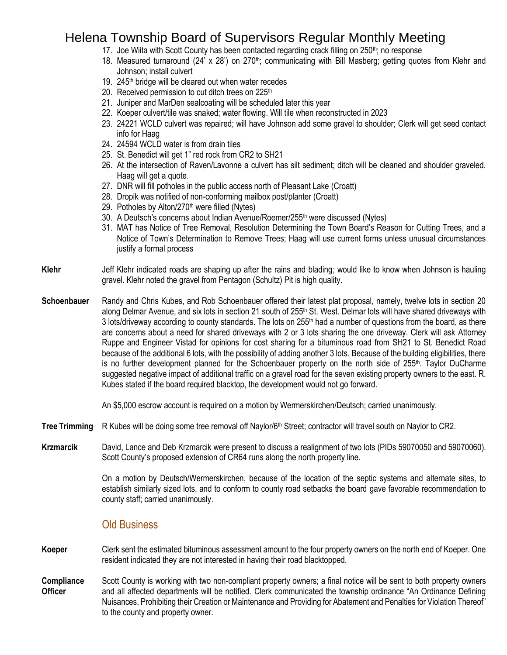## Helena Township Board of Supervisors Regular Monthly Meeting

- 17. Joe Wiita with Scott County has been contacted regarding crack filling on 250<sup>th</sup>; no response
- 18. Measured turnaround (24' x 28') on 270<sup>th</sup>; communicating with Bill Masberg; getting quotes from Klehr and Johnson; install culvert
- 19.  $245<sup>th</sup>$  bridge will be cleared out when water recedes
- 20. Received permission to cut ditch trees on 225<sup>th</sup>
- 21. Juniper and MarDen sealcoating will be scheduled later this year
- 22. Koeper culvert/tile was snaked; water flowing. Will tile when reconstructed in 2023
- 23. 24221 WCLD culvert was repaired; will have Johnson add some gravel to shoulder; Clerk will get seed contact info for Haag
- 24. 24594 WCLD water is from drain tiles
- 25. St. Benedict will get 1" red rock from CR2 to SH21
- 26. At the intersection of Raven/Lavonne a culvert has silt sediment; ditch will be cleaned and shoulder graveled. Haag will get a quote.
- 27. DNR will fill potholes in the public access north of Pleasant Lake (Croatt)
- 28. Dropik was notified of non-conforming mailbox post/planter (Croatt)
- 29. Potholes by Alton/270<sup>th</sup> were filled (Nytes)
- 30. A Deutsch's concerns about Indian Avenue/Roemer/255<sup>th</sup> were discussed (Nytes)
- 31. MAT has Notice of Tree Removal, Resolution Determining the Town Board's Reason for Cutting Trees, and a Notice of Town's Determination to Remove Trees; Haag will use current forms unless unusual circumstances justify a formal process
- **Klehr** Jeff Klehr indicated roads are shaping up after the rains and blading; would like to know when Johnson is hauling gravel. Klehr noted the gravel from Pentagon (Schultz) Pit is high quality.
- **Schoenbauer** Randy and Chris Kubes, and Rob Schoenbauer offered their latest plat proposal, namely, twelve lots in section 20 along Delmar Avenue, and six lots in section 21 south of 255<sup>th</sup> St. West. Delmar lots will have shared driveways with 3 lots/driveway according to county standards. The lots on 255<sup>th</sup> had a number of questions from the board, as there are concerns about a need for shared driveways with 2 or 3 lots sharing the one driveway. Clerk will ask Attorney Ruppe and Engineer Vistad for opinions for cost sharing for a bituminous road from SH21 to St. Benedict Road because of the additional 6 lots, with the possibility of adding another 3 lots. Because of the building eligibilities, there is no further development planned for the Schoenbauer property on the north side of 255<sup>th</sup>. Taylor DuCharme suggested negative impact of additional traffic on a gravel road for the seven existing property owners to the east. R. Kubes stated if the board required blacktop, the development would not go forward.

An \$5,000 escrow account is required on a motion by Wermerskirchen/Deutsch; carried unanimously.

- **Tree Trimming** R Kubes will be doing some tree removal off Naylor/6<sup>th</sup> Street; contractor will travel south on Naylor to CR2.
- **Krzmarcik** David, Lance and Deb Krzmarcik were present to discuss a realignment of two lots (PIDs 59070050 and 59070060). Scott County's proposed extension of CR64 runs along the north property line.

On a motion by Deutsch/Wermerskirchen, because of the location of the septic systems and alternate sites, to establish similarly sized lots, and to conform to county road setbacks the board gave favorable recommendation to county staff; carried unanimously.

### Old Business

- **Koeper** Clerk sent the estimated bituminous assessment amount to the four property owners on the north end of Koeper. One resident indicated they are not interested in having their road blacktopped.
- **Compliance Officer** Scott County is working with two non-compliant property owners; a final notice will be sent to both property owners and all affected departments will be notified. Clerk communicated the township ordinance "An Ordinance Defining Nuisances, Prohibiting their Creation or Maintenance and Providing for Abatement and Penalties for Violation Thereof" to the county and property owner.